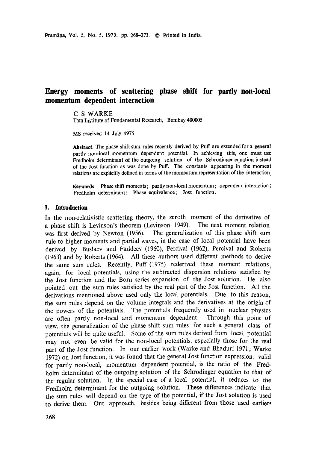# **Energy moments of scattering phase shift for partly non-local momentum dependent interaction**

C S WARKE

Tata Institute of Fundamental Research, Bombay 400005

MS received 14 July 1975

**Abstract.** The phase shift sum rules recently derived by Puff are extended for a **general**  partly non-local momentum dependent potential. In achieving this, one must use Fredholm determinant of the outgoing solution of the Schrodinger equation instead of the Jost function as was done by Puff. The constants appearing in the moment relations are explicitly defined in terms of the momentum representation of the interaction

**Keywords.** Phase shift moments; partly non-local momentum; dependent interaction ; Fredholm determinant; Phase equivalence; Jost function.

#### 1. Introduction

In the non-relativistic scattering theory, the zeroth moment of the derivative of a phase shift is Levinson's theorem (Levinson 1949). The next moment relation was first derived by Newton (1956). The generalization of this phase shift sum rule to higher moments and partial waves, in the case of local potential have been derived by Buslaev and Faddeev (1960), Percival (1962), Percival and Roberts (1963) and by Roberts (1964). All these authors used different methods to derive the same sum rules. Recently, Puff (1975) rederived these moment relations, again, for local potentials, using the subtracted dispersion relations satisfied by the Jost function and the Born series expansion of the Jost solution. He also pointed out the sum rules satisfied by the real part of the Jost function. All the derivations mentioned above used only the local potentials. Due to this reason, the sum rules depend on the volume integrals and the derivatives at the origin of the powers of the potentials. The potentials frequently used in nuclear physics are often partly non-local and momentum dependent. Through this point of view, the generalization of the phase shift sum rules for such a general class of potentials wilt be quite useful. Some of the sum rules derived from local potential may not even be valid for the non-local potentials, especially those for the real part of the Jost function. In our earlier work (Warke and Bhaduri 1971 ; Warke 1972) on Jost function, it was found that the general Jost function expression, valid for partly non-local, momentum dependent potential, is the ratio of the Fredholm determinant of the outgoing solution of the Schrodinger equation to that of the regular solution. In the special case of a local potential, it reduces to the Fredholm determinant for the outgoing solution. These differences indicate that the sum rules will depend on the type of the potential, if the Jost solution is used to derive them. Our approach, besides being different from those used earlier.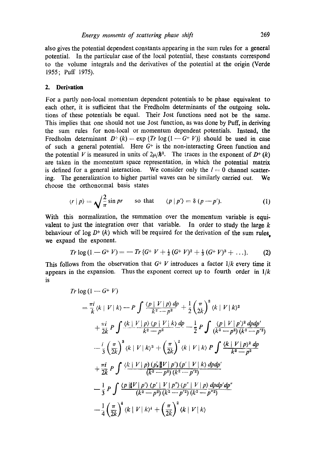also gives the potential dependent constants appearing in the sum rules for a general potential. In the particular case of the local potential, these constants correspond to the volume integrals and the derivatives of the potential at the origin (Verde 1955; Puff 1975).

#### **2. Derivation**

For a partly non-local momentum dependent potentials to be phase equivalent to each other, it is sufficient that the Fredholm determinants of the outgoing solu. tions of these potentials be equal. Their Jost functions need not be the same. This implies that one should not use Jost function, as was done by Puff, in deriving the sum rules for non-local or momentum dependent potentials. Instead, the Fredholm determinant  $D^+(k) = \exp \{Tr \log(1 - G^+ V)\}\$  should be used in case of such a general potential. Here  $G<sup>+</sup>$  is the non-interacting Green function and the potential V is measured in units of  $2\mu/\hbar^2$ . The traces in the exponent of  $D^+(k)$ are taken in the momentum space representation, in which the potential matrix is defined for a general interaction. We consider only the  $l=0$  channel scattering. The generalization to higher partial waves can be similarly carried out. We choose the orthonormal basis states

$$
\langle r | p \rangle = \sqrt{\frac{2}{\pi}} \sin pr \qquad \text{so that} \qquad \langle p | p' \rangle = \delta (p - p'). \tag{1}
$$

With this normalization, the summation over the momentum variable is equivalent to just the integration over that variable. In order to study the large  $k$ behaviour of  $log D+ (k)$  which will be required for the derivation of the sum rules, **we** expand the exponent.

$$
Tr \log (1 - G^+ V) = - Tr \{ G^+ V + \frac{1}{2} (G^+ V)^2 + \frac{1}{3} (G^+ V)^3 + \ldots \}.
$$
 (2)

This follows from the observation that  $G^+$  V introduces a factor  $1/k$  every time it appears in the expansion. Thus the exponent correct up to fourth order in *1/k*  is

$$
Tr \log (1 - G + V)
$$
\n
$$
= \frac{\pi i}{k} \langle k | V | k \rangle - P \int \frac{\langle p | V | p \rangle dp}{k^2 - p^2} + \frac{1}{2} \left( \frac{\pi}{2k} \right)^2 \langle k | V | k \rangle^2
$$
\n
$$
+ \frac{\pi i}{2k} P \int \frac{\langle k | V | p \rangle \langle p | V | k \rangle dp}{k^2 - p^2} - \frac{1}{2} P \int \frac{\langle p | V | p \rangle^2 dp dp'}{(k^2 - p^2)(k^2 - p'^2)}
$$
\n
$$
- \frac{i}{3} \left( \frac{\pi}{2k} \right)^3 \langle k | V | k \rangle^3 + \left( \frac{\pi}{2k} \right)^2 \langle k | V | k \rangle P \int \frac{\langle k | V | p \rangle^2 dp}{k^2 - p^2}
$$
\n
$$
+ \frac{\pi i}{2k} P \int \frac{\langle k | V | p \rangle (p'_i | V | p') (p' | V | k \rangle dp dp'}{(k^2 - p^2)(k^2 - p'^2)}
$$
\n
$$
- \frac{1}{3} P \int \frac{\langle p | V | p' \rangle \langle p' | V | p'' \rangle \langle p'' | V | p \rangle dp dp' dp''}{(k^2 - p^2)(k^2 - p'^2)(k^2 - p'^2)}
$$
\n
$$
- \frac{1}{4} \left( \frac{\pi}{2k} \right)^4 \langle k | V | k \rangle^4 + \left( \frac{\pi}{2k} \right)^2 \langle k | V | k \rangle
$$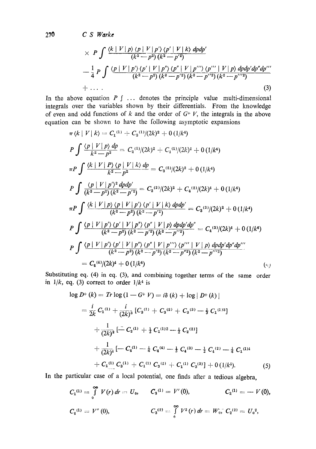**270** *C S Warke* 

$$
\times P \int \frac{\langle k | V | p \rangle \langle p | V | p' \rangle \langle p' | V | k \rangle dp dp'}{ (k^2 - p^2) (k^2 - p'^2)}
$$
  
 
$$
- \frac{1}{4} P \int \frac{\langle p | V | p' \rangle \langle p' | V | p'' \rangle \langle p'' | V | p''' \rangle \langle p''' | V | p \rangle dp dp' dp'''}{ (k^2 - p^2) (k^2 - p'^2) (k^2 - p''^2) (k^2 - p''^2)}
$$
  
+ ... (3)

In the above equation  $P \int \ldots$  denotes the principle value multi-dimensional integrals over the variables shown by their differentials. From the knowledge of even and odd functions of k and the order of  $G+V$ , the integrals in the above equation can be shown to have the following asymptotic expansions

$$
\pi \langle k | V | k \rangle = C_1^{(1)} + C_3^{(1)}/(2k)^2 + 0 \frac{1}{k^4}
$$
\n
$$
P \int \frac{\langle p | V | p \rangle dp}{k^2 - p^2} = C_2^{(1)}/(2k)^2 + C_4^{(1)}/(2k)^4 + 0 \frac{1}{k^6}
$$
\n
$$
\pi P \int \frac{\langle k | V | P \rangle \langle p | V | k \rangle dp}{k^2 - p^2} = C_3^{(2)}/(2k)^2 + 0 \frac{1}{k^4}
$$
\n
$$
P \int \frac{\langle p | V | p' \rangle^2 dp dp'}{(k^2 - p^2)(k^2 - p'^2)} = C_2^{(2)}/(2k)^2 + C_4^{(2)}/(2k)^4 + 0 \frac{1}{k^6}
$$
\n
$$
\pi P \int \frac{\langle k | V | p \rangle \langle p | V | p' \rangle \langle p' | V | k \rangle dp dp'}{(k^2 - p^2)(k^2 - p'^2)} = C_3^{(3)}/(2k)^2 + 0 \frac{1}{k^4}
$$
\n
$$
P \int \frac{\langle p | V | p \rangle \langle p' | V | p'' \rangle \langle p'' | V | p \rangle dp dp' dp''}{(k^2 - p^2)(k^2 - p'^2)(k^2 - p'^2)^2} = C_4^{(3)}/(2k)^4 + 0 \frac{1}{k^6}
$$
\n
$$
P \int \frac{\langle p | V | p' \rangle \langle p' | V | p'' \rangle \langle p'' | V | p \rangle dp dp' dp''}{(k^2 - p^2)(k^2 - p'^2)(k^2 - p''^2)(k^2 - p''^2)} = C_4^{(3)}/(2k)^4 + 0 \frac{1}{k^6}
$$
\n
$$
= C_4^{(4)}/(2k)^4 + 0 \frac{1}{k^6}
$$
\n
$$
(4k)^4 + 0 \frac{1}{k^6}
$$

Substituting **eq. (4) in eq. (3),** and combining together terms of the same order in  $1/k$ , eq. (3) correct to order  $1/k^4$  is

$$
\log D^{+}(k) = Tr \log (1 - G^{+} V) = i\delta (k) + \log |D^{+}(k)|
$$
\n
$$
= \frac{i}{2k} C_{1}^{(1)} + \frac{i}{(2k)^{3}} [C_{3}^{(1)} + C_{3}^{(2)} + C_{3}^{(3)} - \frac{1}{3} C_{1}^{(1)3}]
$$
\n
$$
+ \frac{1}{(2k)^{2}} [-C_{2}^{(1)} + \frac{1}{2} C_{1}^{(1)2} - \frac{1}{2} C_{2}^{(2)}]
$$
\n
$$
+ \frac{1}{(2k)^{4}} [-C_{4}^{(1)} - \frac{1}{4} C_{4}^{(4)} - \frac{1}{3} C_{4}^{(3)} - \frac{1}{2} C_{4}^{(2)} - \frac{1}{4} C_{1}^{(1)4}]
$$
\n
$$
+ C_{1}^{(1)} C_{3}^{(1)} + C_{1}^{(1)} C_{3}^{(2)} + C_{1}^{(1)} C_{3}^{(3)}] + 0 (1/k^{5}). \tag{5}
$$

In the particular case of a local potential, one finds after a tedious algebra,

$$
C_1^{(1)} = \int_0^\infty V(r) dr = U_0, \qquad C_3^{(1)} = V'(0), \qquad C_2^{(1)} = -V(0),
$$
  
\n
$$
C_4^{(1)} = V''(0), \qquad C_3^{(2)} = \int_0^\infty V^2(r) dr = W_0, \qquad C_2^{(2)} = U_0^2,
$$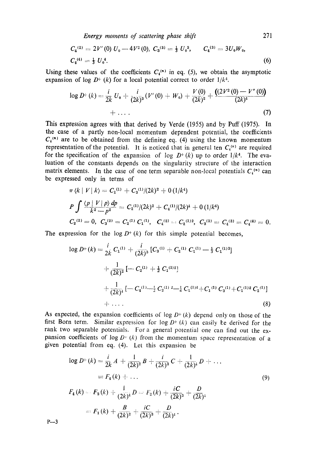*Energy moments of scattering phase shift* 271

$$
C_4^{(2)} = 2V'(0) U_0 - 4V^2(0), C_3^{(3)} = \frac{1}{3} U_0^3, C_4^{(3)} = 3U_0W_0,
$$
  

$$
C_4^{(4)} = \frac{1}{3} U_0^4.
$$
 (6)

Using these values of the coefficients  $C_i^{(n)}$  in eq. (5), we obtain the asymptotic expansion of log  $D^+(k)$  for a local potential correct to order  $1/k^4$ .

$$
\log D^{+}(k) = \frac{i}{2k} U_0 + \frac{i}{(2k)^3} (V'(0) + W_0) + \frac{V(0)}{(2k)^2} + \frac{((2V^2(0) - V''(0))}{(2k)^4} + \dots
$$
\n(7)

This expression agrees with that derived by Verde (1955) and by Puff (1975). In the case of a partly non-local momentum dependent potential, the coefficients  $C_i^{(n)}$  are to be obtained from the defining eq. (4) using the known momentum representation of the potential. It is noticed that in general ten  $C_i^{(n)}$  are required for the specification of the expansion of log  $D^+(k)$  up to order  $1/k^4$ . The evaluation of the constants depends on the singularity structure of the interaction matrix elements. In the case of one term separable non-local potentials  $C_i^{(n)}$  can be expressed only in terms of

$$
\pi \langle k | V | k \rangle = C_1^{(1)} + C_3^{(1)}/(2k)^2 + 0 \left( \frac{1}{k^4} \right)
$$
  
\n
$$
P \int \frac{\langle p | V | p \rangle dp}{k^2 - p^2} = C_2^{(1)}/(2k)^2 + C_4^{(1)}/(2k)^4 + 0 \left( \frac{1}{k^6} \right)
$$
  
\n
$$
C_2^{(2)} = 0, \ C_3^{(2)} = C_2^{(1)} C_1^{(1)}, \ C_4^{(2)} = C_2^{(1)2}, \ C_3^{(3)} = C_4^{(3)} = C_4^{(4)} = 0.
$$

The expression for the  $log D<sup>+</sup>(k)$  for this simple potential becomes,

$$
\log D^{+}(k) = \frac{i}{2k} C_{1}^{(1)} + \frac{i}{(2k)^{3}} [C_{3}^{(1)} + C_{2}^{(1)} C_{1}^{(1)} - \frac{1}{3} C_{1}^{(1)3}] + \frac{1}{(2k)^{2}} [-C_{2}^{(1)} + \frac{1}{2} C_{1}^{(1)2}] + \frac{1}{(2k)^{4}} [-C_{4}^{(1)} - \frac{1}{2} C_{2}^{(1)} - \frac{1}{4} C_{1}^{(1)4} + C_{1}^{(1)} C_{3}^{(1)} + C_{1}^{(1)2} C_{2}^{(1)}] + \cdots
$$
\n(8)

As expected, the expansion coefficients of log  $D^+(k)$  depend only on those of the first Born term. Similar expression for log  $D^+(k)$  can easily be derived for the rank two separable potentials. For a general potential one can find out the expansion coefficients of  $\log D$ <sup>+</sup> (k) from the momentum space representation of a given potential from eq. (4). Let this expansion be

$$
\log D^{+}(k) = \frac{i}{2k} A + \frac{1}{(2k)^{2}} B + \frac{i}{(2k)^{3}} C + \frac{1}{(2k)^{4}} D + \dots
$$
  
\n
$$
= F_{4}(k) + \dots
$$
  
\n
$$
F_{4}(k) = F_{3}(k) + \frac{1}{(2k)^{4}} D = F_{2}(k) + \frac{iC}{(2k)^{3}} + \frac{D}{(2k)^{4}}
$$
  
\n
$$
= F_{1}(k) + \frac{B}{(2k)^{2}} + \frac{iC}{(2k)^{3}} + \frac{D}{(2k)^{4}}.
$$
  
\n(9)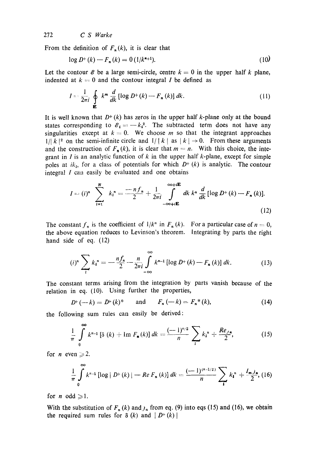272 *C S Warke* 

From the definition of  $F_n(k)$ , it is clear that

$$
\log D^{+}(k) - F_{n}(k) = 0 \left( \frac{1}{k^{n+1}} \right). \tag{10}
$$

Let the contour  $\mathcal E$  be a large semi-circle, centre  $k = 0$  in the upper half k plane, indented at  $k = 0$  and the contour integral I be defined as

$$
I = \frac{1}{2\pi i} \oint_{\mathbf{E}} k^m \frac{d}{dk} [\log D^+(k) - F_n(k)] dk.
$$
 (11)

It is well known that  $D^+(k)$  has zeros in the upper half k-plane only at the bound states corresponding to  $\mathscr{E}_1 = -k_1^2$ . The subtracted term does not have any singularities except at  $k = 0$ . We choose m so that the integrant approaches  $1/|k|^2$  on the semi-infinite circle and  $1/|k|$  as  $|k| \rightarrow 0$ . From these arguments and the construction of  $F_n(k)$ , it is clear that  $m = n$ . With this choice, the integrant in I is an analytic function of  $k$  in the upper half  $k$ -plane, except for simple poles at *ik<sub>t</sub>*, for a class of potentials for which  $D^+(k)$  is analytic. The contour integral  $I$  can easily be evaluated and one obtains

$$
I = (i)^n \sum_{i=1}^N k_i^n = \frac{-nf_n}{2} + \frac{1}{2\pi i} \int_{-\infty+i\mathbf{E}}^{\infty+i\mathbf{E}} dk \, k^n \, \frac{d}{dk} [\log D^+(k) - F_n(k)].
$$
\n(12)

The constant  $f_n$  is the coefficient of  $1/k^n$  in  $F_n(k)$ . For a particular case of  $n = 0$ , the above equation reduces to Levinson's theorem. Integrating by parts the right hand side of eq. (12)

$$
(i)^{n} \sum_{i} k_{i}^{n} = -\frac{n f_{n}}{2} - \frac{n}{2\pi i} \int_{-\infty}^{\infty} k^{n-1} \left[ \log D^{+}(k) - F_{n}(k) \right] dk.
$$
 (13)

The constant terms arising from the integration by parts vanish because of the relation in eq. (10). Using further the properties,

$$
D^{+}(-k) = D^{+}(k)^{*} \quad \text{and} \quad F_{n}(-k) = F_{n}^{*}(k), \tag{14}
$$

the following sum rules can easily be derived:

$$
\frac{1}{\pi} \int_{0}^{\infty} k^{n-1} \left[ \delta\left(k\right) + \text{Im } F_{\mathbf{n}}\left(k\right) \right] dk = \frac{(-1)^{n/2}}{n} \sum_{i} k_{i}^{n} + \frac{Re_{J\mathbf{n}}}{2}, \tag{15}
$$

for *n* even  $\ge 2$ .

$$
\frac{1}{\pi}\int_{0}^{\infty}k^{n-1}\left[\log|D^{+}(k)|-Re F_{n}(k)\right]dk=\frac{(-1)^{(n-1/2)}}{n}\sum_{i}k_{i}^{n}+\frac{l_{m}j_{n}}{2},
$$
 (16)

for *n* odd  $\geq 1$ .

With the substitution of  $F_n(k)$  and  $j_n$  from eq. (9) into eqs (15) and (16), we obtain the required sum rules for  $\delta(k)$  and  $|D^+(k)|$